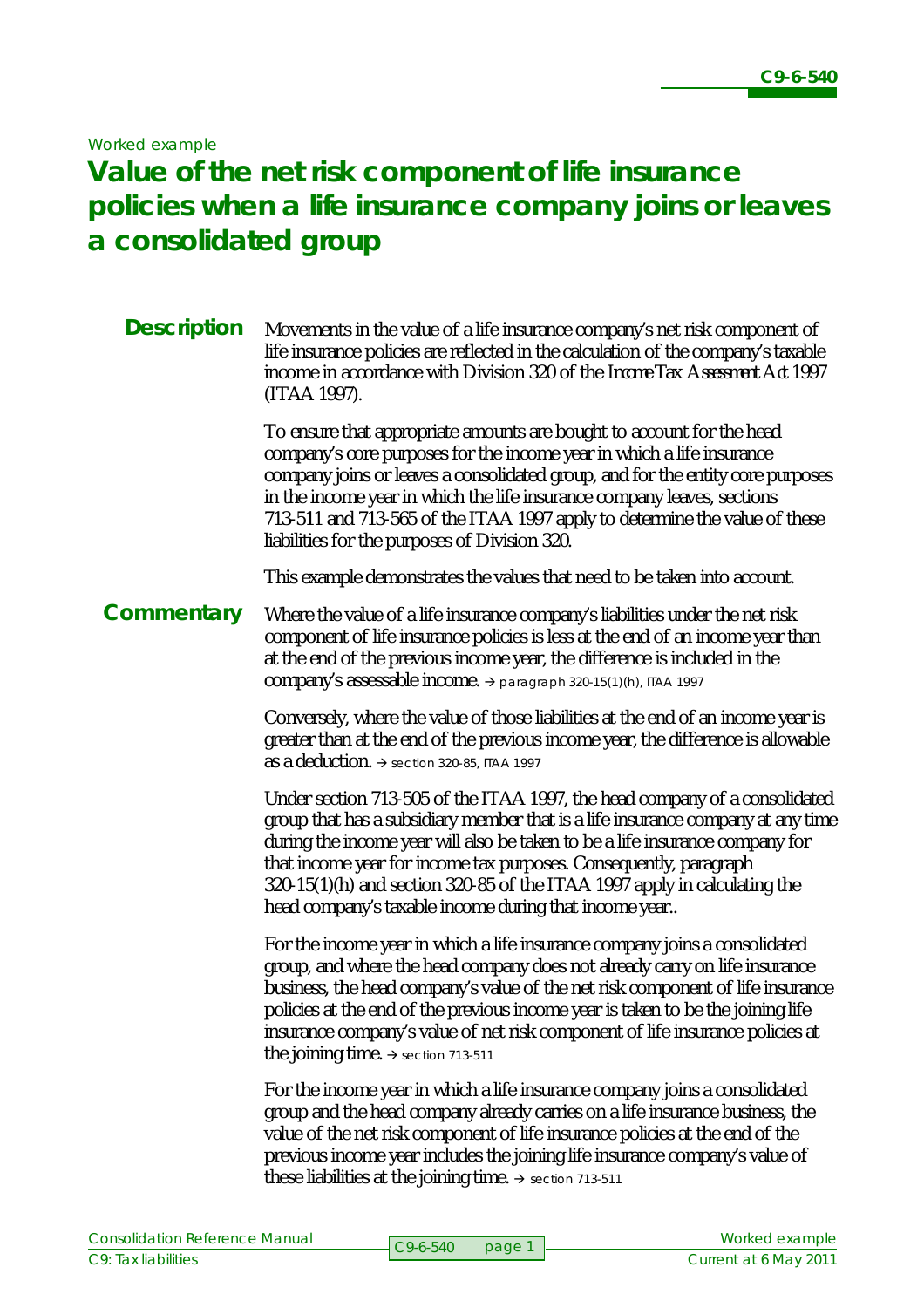*Worked example*

# **Value of the net risk component of life insurance policies when a life insurance company joins or leaves a consolidated group**

| <b>Description</b> | Movements in the value of a life insurance company's net risk component of<br>life insurance policies are reflected in the calculation of the company's taxable<br>income in accordance with Division 320 of the Income Tax Assessment Act 1997<br>(ITAA 1997).                                                                                                                                                                                                   |
|--------------------|-------------------------------------------------------------------------------------------------------------------------------------------------------------------------------------------------------------------------------------------------------------------------------------------------------------------------------------------------------------------------------------------------------------------------------------------------------------------|
|                    | To ensure that appropriate amounts are bought to account for the head<br>company's core purposes for the income year in which a life insurance<br>company joins or leaves a consolidated group, and for the entity core purposes<br>in the income year in which the life insurance company leaves, sections<br>713-511 and 713-565 of the ITAA 1997 apply to determine the value of these<br>liabilities for the purposes of Division 320.                        |
|                    | This example demonstrates the values that need to be taken into account.                                                                                                                                                                                                                                                                                                                                                                                          |
| Commentary         | Where the value of a life insurance company's liabilities under the net risk<br>component of life insurance policies is less at the end of an income year than<br>at the end of the previous income year, the difference is included in the<br>company's assessable income. > paragraph 320-15(1)(h), ITAA 1997                                                                                                                                                   |
|                    | Conversely, where the value of those liabilities at the end of an income year is<br>greater than at the end of the previous income year, the difference is allowable<br>as a deduction. $\rightarrow$ section 320-85, ITAA 1997                                                                                                                                                                                                                                   |
|                    | Under section 713-505 of the ITAA 1997, the head company of a consolidated<br>group that has a subsidiary member that is a life insurance company at any time<br>during the income year will also be taken to be a life insurance company for<br>that income year for income tax purposes. Consequently, paragraph<br>320-15(1)(h) and section 320-85 of the ITAA 1997 apply in calculating the<br>head company's taxable income during that income year          |
|                    | For the income year in which a life insurance company joins a consolidated<br>group, and where the head company does not already carry on life insurance<br>business, the head company's value of the net risk component of life insurance<br>policies at the end of the previous income year is taken to be the joining life<br>insurance company's value of net risk component of life insurance policies at<br>the joining time. $\rightarrow$ section 713-511 |
|                    | For the income year in which a life insurance company joins a consolidated<br>group and the head company already carries on a life insurance business, the<br>value of the net risk component of life insurance policies at the end of the<br>previous income year includes the joining life insurance company's value of<br>these liabilities at the joining time. $\rightarrow$ section 713-511                                                                 |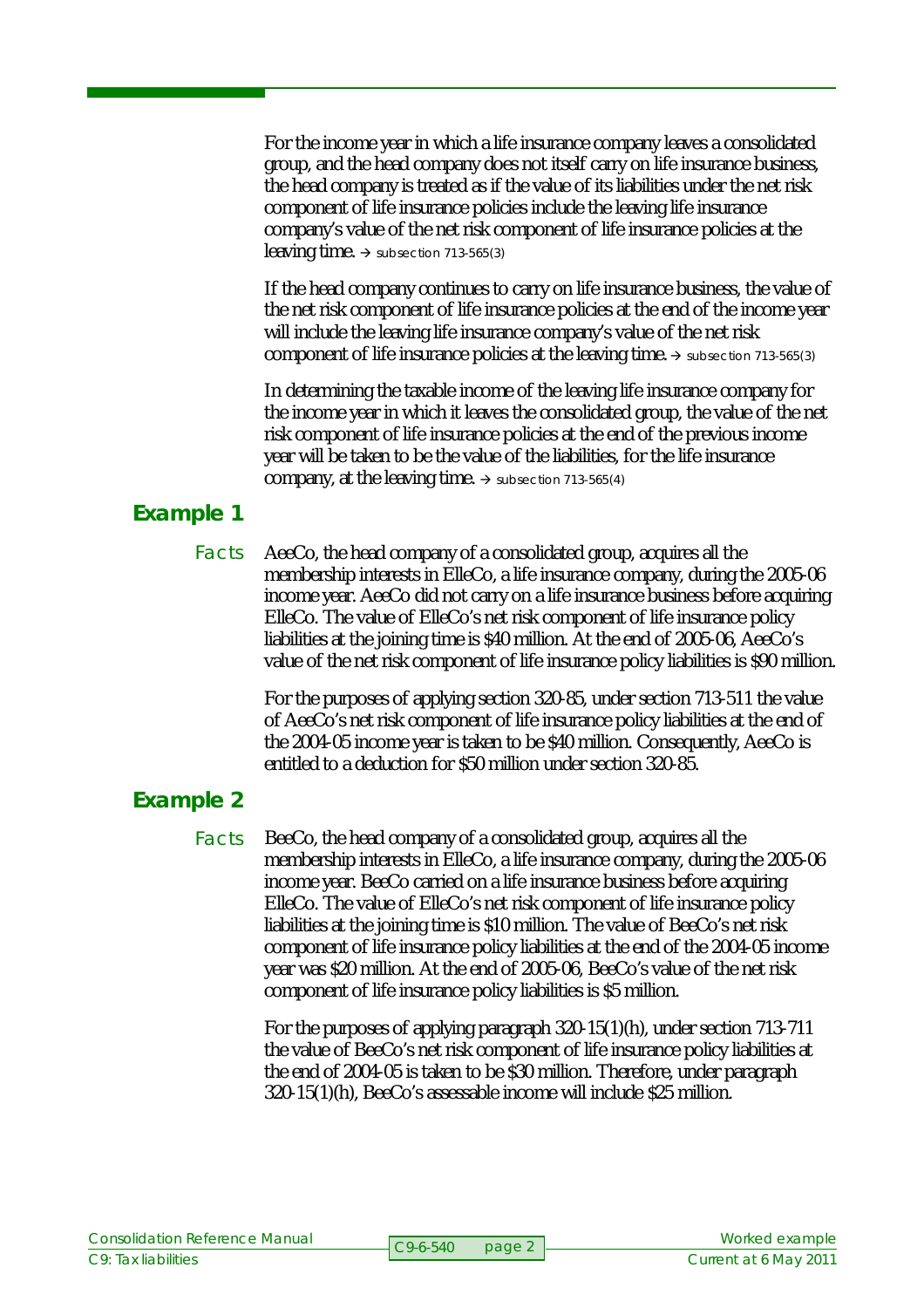For the income year in which a life insurance company leaves a consolidated group, and the head company does not itself carry on life insurance business, the head company is treated as if the value of its liabilities under the net risk component of life insurance policies include the leaving life insurance company's value of the net risk component of life insurance policies at the leaving time.  $\rightarrow$  subsection 713-565(3)

If the head company continues to carry on life insurance business, the value of the net risk component of life insurance policies at the end of the income year will include the leaving life insurance company's value of the net risk component of life insurance policies at the leaving time.  $\rightarrow$  subsection 713-565(3)

In determining the taxable income of the leaving life insurance company for the income year in which it leaves the consolidated group, the value of the net risk component of life insurance policies at the end of the previous income year will be taken to be the value of the liabilities, for the life insurance company, at the leaving time.  $\rightarrow$  subsection 713-565(4)

# **Example 1**

AeeCo, the head company of a consolidated group, acquires all the membership interests in ElleCo, a life insurance company, during the 2005-06 income year. AeeCo did not carry on a life insurance business before acquiring ElleCo. The value of ElleCo's net risk component of life insurance policy liabilities at the joining time is \$40 million. At the end of 2005-06, AeeCo's value of the net risk component of life insurance policy liabilities is \$90 million. Facts

> For the purposes of applying section 320-85, under section 713-511 the value of AeeCo's net risk component of life insurance policy liabilities at the end of the 2004-05 income year is taken to be \$40 million. Consequently, AeeCo is entitled to a deduction for \$50 million under section 320-85.

## **Example 2**

BeeCo, the head company of a consolidated group, acquires all the membership interests in ElleCo, a life insurance company, during the 2005-06 income year. BeeCo carried on a life insurance business before acquiring ElleCo. The value of ElleCo's net risk component of life insurance policy liabilities at the joining time is \$10 million. The value of BeeCo's net risk component of life insurance policy liabilities at the end of the 2004-05 income year was \$20 million. At the end of 2005-06, BeeCo's value of the net risk component of life insurance policy liabilities is \$5 million. Facts

> For the purposes of applying paragraph 320-15(1)(h), under section 713-711 the value of BeeCo's net risk component of life insurance policy liabilities at the end of 2004-05 is taken to be \$30 million. Therefore, under paragraph 320-15(1)(h), BeeCo's assessable income will include \$25 million.